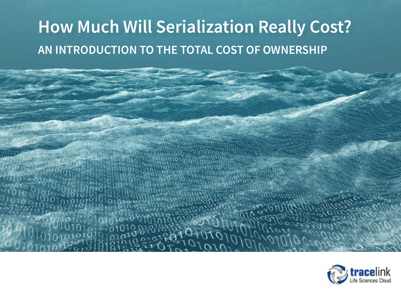## **How Much Will Serialization Really Cost? AN INTRODUCTION TO THE TOTAL COST OF OWNERSHIP**

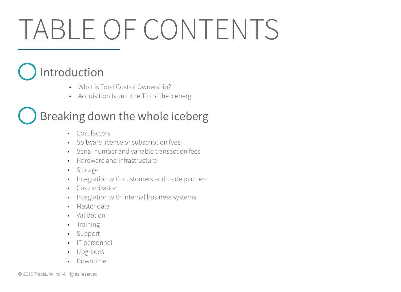# TABLE OF CONTENTS

## [Introduction](#page-3-0)

- What is Total Cost of Ownership?
- [Acquisition is Just the Tip of the Iceberg](#page-3-0)

### [Breaking down the whole iceberg](#page-4-0)

- [Cost factors](#page-5-0)
- [Software license or subscription fees](#page-5-0)
- [Serial number and variable transaction fees](#page-5-0)
- [Hardware and infrastructure](#page-5-0)
- [Storage](#page-6-0)
- [Integration with customers and trade partners](#page-6-0)
- [Customization](#page-6-0)
- [Integration with internal business systems](#page-6-0)
- [Master data](#page-7-0)
- [Validation](#page-7-0)
- **[Training](#page-7-0)**
- [Support](#page-7-0)
- [IT personnel](#page-8-0)
- [Upgrades](#page-8-0)
- [Downtime](#page-8-0)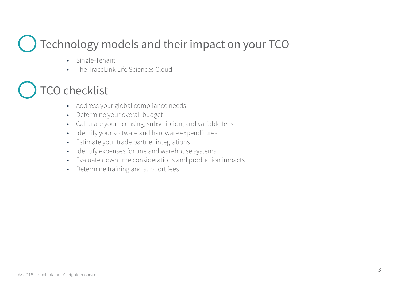### [Technology models and their impact on your TCO](#page-10-0)

- Single-Tenant
- [The TraceLink Life Sciences Cloud](#page-10-0)

### **CO checklist**

- [Address your global compliance needs](#page-12-0)
- [Determine your overall budget](#page-12-0)
- [Calculate your licensing, subscription, and variable fees](#page-12-0)
- [Identify your software and hardware expenditures](#page-13-0)
- [Estimate your trade partner integrations](#page-13-0)
- [Identify expenses for line and warehouse systems](#page-13-0)
- [Evaluate downtime considerations and production impacts](#page-14-0)
- Determine training and support fees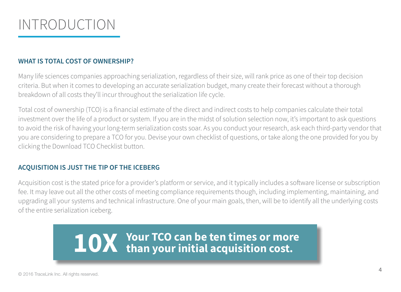<span id="page-3-0"></span>

#### **WHAT IS TOTAL COST OF OWNERSHIP?**

Many life sciences companies approaching serialization, regardless of their size, will rank price as one of their top decision criteria. But when it comes to developing an accurate serialization budget, many create their forecast without a thorough breakdown of all costs they'll incur throughout the serialization life cycle.

Total cost of ownership (TCO) is a financial estimate of the direct and indirect costs to help companies calculate their total investment over the life of a product or system. If you are in the midst of solution selection now, it's important to ask questions to avoid the risk of having your long-term serialization costs soar. As you conduct your research, ask each third-party vendor that you are considering to prepare a TCO for you. Devise your own checklist of questions, or take along the one provided for you by clicking the Download TCO Checklist button.

#### **ACQUISITION IS JUST THE TIP OF THE ICEBERG**

Acquisition cost is the stated price for a provider's platform or service, and it typically includes a software license or subscription fee. It may leave out all the other costs of meeting compliance requirements though, including implementing, maintaining, and upgrading all your systems and technical infrastructure. One of your main goals, then, will be to identify all the underlying costs of the entire serialization iceberg.

# **Your TCO can be ten times or more 10X than your initial acquisition cost.**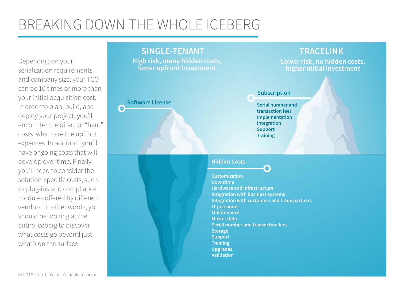### <span id="page-4-0"></span>BREAKING DOWN THE WHOLE ICEBERG

Depending on your serialization requirements and company size, your TCO can be 10 times or more than your initial acquisition cost. In order to plan, build, and deploy your project, you'll encounter the direct or "hard" costs, which are the upfront expenses. In addition, you'll have ongoing costs that will develop over time. Finally, you'll need to consider the solution-specific costs, such as plug-ins and compliance modules offered by different vendors. In other words, you should be looking at the entire iceberg to discover what costs go beyond just what's on the surface

#### **SINGLE-TENANT TRACELINK**

**High risk, many hidden costs, lower upfront investment**

#### **Software License**

**Lower risk, no hidden costs, higher initial investment**

#### **Subscription**

 **Serial number and transaction fees Implementation Integration Support Training** 

#### **Hidden Costs**

**Customization Downtime Hardware and infrastructure Integration with business systems Integration with customers and trade partners IT personnel Maintenance Master data Serial number and transaction fees Storage Support Training Upgrades Validation**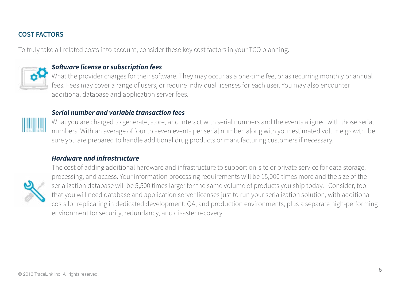#### <span id="page-5-0"></span>**COST FACTORS**

To truly take all related costs into account, consider these key cost factors in your TCO planning:



#### *Software license or subscription fees*

What the provider charges for their software. They may occur as a one-time fee, or as recurring monthly or annual fees. Fees may cover a range of users, or require individual licenses for each user. You may also encounter additional database and application server fees.

#### *Serial number and variable transaction fees*



What you are charged to generate, store, and interact with serial numbers and the events aligned with those serial numbers. With an average of four to seven events per serial number, along with your estimated volume growth, be sure you are prepared to handle additional drug products or manufacturing customers if necessary.

#### *Hardware and infrastructure*



The cost of adding additional hardware and infrastructure to support on-site or private service for data storage, processing, and access. Your information processing requirements will be 15,000 times more and the size of the serialization database will be 5,500 times larger for the same volume of products you ship today. Consider, too, that you will need database and application server licenses just to run your serialization solution, with additional costs for replicating in dedicated development, QA, and production environments, plus a separate high-performing environment for security, redundancy, and disaster recovery.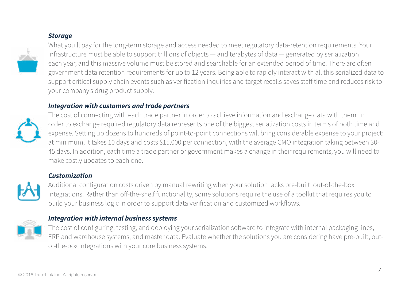#### *Storage*

<span id="page-6-0"></span>

What you'll pay for the long-term storage and access needed to meet regulatory data-retention requirements. Your infrastructure must be able to support trillions of objects — and terabytes of data — generated by serialization each year, and this massive volume must be stored and searchable for an extended period of time. There are often government data retention requirements for up to 12 years. Being able to rapidly interact with all this serialized data to support critical supply chain events such as verification inquiries and target recalls saves staff time and reduces risk to your company's drug product supply.

#### *Integration with customers and trade partners*



The cost of connecting with each trade partner in order to achieve information and exchange data with them. In order to exchange required regulatory data represents one of the biggest serialization costs in terms of both time and expense. Setting up dozens to hundreds of point-to-point connections will bring considerable expense to your project: at minimum, it takes 10 days and costs \$15,000 per connection, with the average CMO integration taking between 30- 45 days. In addition, each time a trade partner or government makes a change in their requirements, you will need to make costly updates to each one.

#### *Customization*



Additional configuration costs driven by manual rewriting when your solution lacks pre-built, out-of-the-box integrations. Rather than off-the-shelf functionality, some solutions require the use of a toolkit that requires you to build your business logic in order to support data verification and customized workflows.



#### *Integration with internal business systems*

The cost of configuring, testing, and deploying your serialization software to integrate with internal packaging lines, ERP and warehouse systems, and master data. Evaluate whether the solutions you are considering have pre-built, outof-the-box integrations with your core business systems.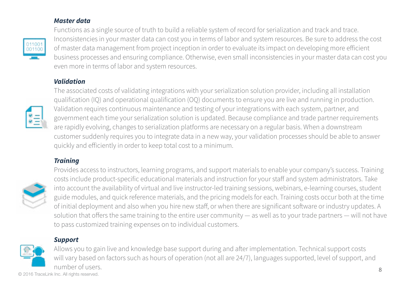#### *Master data*

<span id="page-7-0"></span>

Functions as a single source of truth to build a reliable system of record for serialization and track and trace. Inconsistencies in your master data can cost you in terms of labor and system resources. Be sure to address the cost of master data management from project inception in order to evaluate its impact on developing more efficient business processes and ensuring compliance. Otherwise, even small inconsistencies in your master data can cost you even more in terms of labor and system resources.

#### *Validation*



The associated costs of validating integrations with your serialization solution provider, including all installation qualification (IQ) and operational qualification (OQ) documents to ensure you are live and running in production. Validation requires continuous maintenance and testing of your integrations with each system, partner, and government each time your serialization solution is updated. Because compliance and trade partner requirements are rapidly evolving, changes to serialization platforms are necessary on a regular basis. When a downstream customer suddenly requires you to integrate data in a new way, your validation processes should be able to answer quickly and efficiently in order to keep total cost to a minimum.

#### *Training*



Provides access to instructors, learning programs, and support materials to enable your company's success. Training costs include product-specific educational materials and instruction for your staff and system administrators. Take into account the availability of virtual and live instructor-led training sessions, webinars, e-learning courses, student guide modules, and quick reference materials, and the pricing models for each. Training costs occur both at the time of initial deployment and also when you hire new staff, or when there are significant software or industry updates. A solution that offers the same training to the entire user community — as well as to your trade partners — will not have to pass customized training expenses on to individual customers.

#### *Support*



Allows you to gain live and knowledge base support during and after implementation. Technical support costs will vary based on factors such as hours of operation (not all are 24/7), languages supported, level of support, and number of users.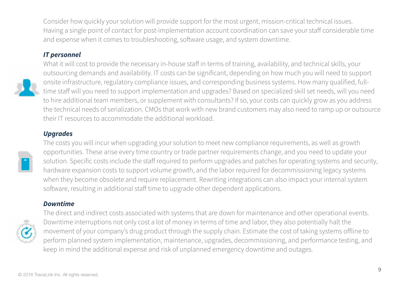<span id="page-8-0"></span>Consider how quickly your solution will provide support for the most urgent, mission-critical technical issues. Having a single point of contact for post-implementation account coordination can save your staff considerable time and expense when it comes to troubleshooting, software usage, and system downtime.

#### *IT personnel*



What it will cost to provide the necessary in-house staff in terms of training, availability, and technical skills, your outsourcing demands and availability. IT costs can be significant, depending on how much you will need to support onsite infrastructure, regulatory compliance issues, and corresponding business systems. How many qualified, fulltime staff will you need to support implementation and upgrades? Based on specialized skill set needs, will you need to hire additional team members, or supplement with consultants? If so, your costs can quickly grow as you address the technical needs of serialization. CMOs that work with new brand customers may also need to ramp up or outsource their IT resources to accommodate the additional workload.

#### *Upgrades*



The costs you will incur when upgrading your solution to meet new compliance requirements, as well as growth opportunities. These arise every time country or trade partner requirements change, and you need to update your solution. Specific costs include the staff required to perform upgrades and patches for operating systems and security, hardware expansion costs to support volume growth, and the labor required for decommissioning legacy systems when they become obsolete and require replacement. Rewriting integrations can also impact your internal system software, resulting in additional staff time to upgrade other dependent applications.

#### *Downtime*



The direct and indirect costs associated with systems that are down for maintenance and other operational events. Downtime interruptions not only cost a lot of money in terms of time and labor, they also potentially halt the movement of your company's drug product through the supply chain. Estimate the cost of taking systems offline to perform planned system implementation, maintenance, upgrades, decommissioning, and performance testing, and keep in mind the additional expense and risk of unplanned emergency downtime and outages.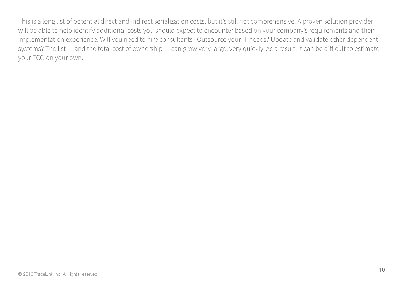This is a long list of potential direct and indirect serialization costs, but it's still not comprehensive. A proven solution provider will be able to help identify additional costs you should expect to encounter based on your company's requirements and their implementation experience. Will you need to hire consultants? Outsource your IT needs? Update and validate other dependent systems? The list — and the total cost of ownership — can grow very large, very quickly. As a result, it can be difficult to estimate your TCO on your own.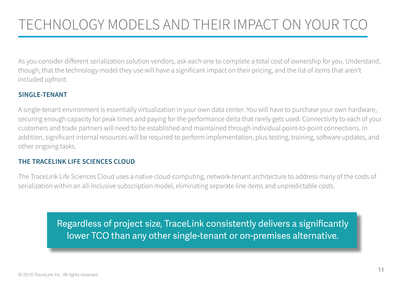### <span id="page-10-0"></span>TECHNOLOGY MODELS AND THEIR IMPACT ON YOUR TCO

As you consider different serialization solution vendors, ask each one to complete a total cost of ownership for you. Understand, though, that the technology model they use will have a significant impact on their pricing, and the list of items that aren't included upfront.

#### **SINGLE-TENANT**

A single-tenant environment is essentially virtualization in your own data center. You will have to purchase your own hardware, securing enough capacity for peak times and paying for the performance delta that rarely gets used. Connectivity to each of your customers and trade partners will need to be established and maintained through individual point-to-point connections. In addition, significant internal resources will be required to perform implementation, plus testing, training, software updates, and other ongoing tasks.

#### **THE TRACELINK LIFE SCIENCES CLOUD**

The TraceLink Life Sciences Cloud uses a native cloud-computing, network-tenant architecture to address many of the costs of serialization within an all-inclusive subscription model, eliminating separate line items and unpredictable costs.

> Regardless of project size, TraceLink consistently delivers a significantly lower TCO than any other single-tenant or on-premises alternative.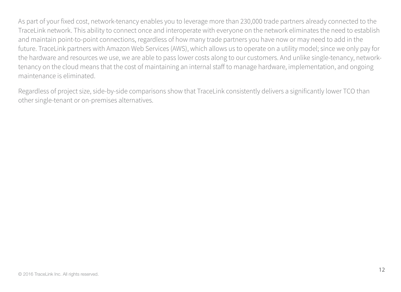As part of your fixed cost, network-tenancy enables you to leverage more than 230,000 trade partners already connected to the TraceLink network. This ability to connect once and interoperate with everyone on the network eliminates the need to establish and maintain point-to-point connections, regardless of how many trade partners you have now or may need to add in the future. TraceLink partners with Amazon Web Services (AWS), which allows us to operate on a utility model; since we only pay for the hardware and resources we use, we are able to pass lower costs along to our customers. And unlike single-tenancy, networktenancy on the cloud means that the cost of maintaining an internal staff to manage hardware, implementation, and ongoing maintenance is eliminated.

Regardless of project size, side-by-side comparisons show that TraceLink consistently delivers a significantly lower TCO than other single-tenant or on-premises alternatives.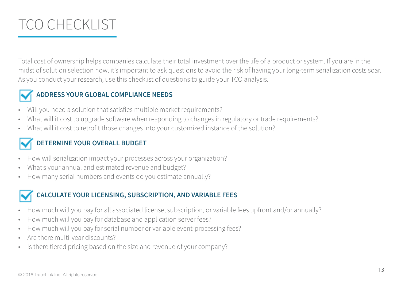### <span id="page-12-0"></span>TCO CHECKLIST

Total cost of ownership helps companies calculate their total investment over the life of a product or system. If you are in the midst of solution selection now, it's important to ask questions to avoid the risk of having your long-term serialization costs soar. As you conduct your research, use this checklist of questions to guide your TCO analysis.



#### **ADDRESS YOUR GLOBAL COMPLIANCE NEEDS**

- Will you need a solution that satisfies multiple market requirements?
- What will it cost to upgrade software when responding to changes in regulatory or trade requirements?
- What will it cost to retrofit those changes into your customized instance of the solution?

#### **DETERMINE YOUR OVERALL BUDGET**

- How will serialization impact your processes across your organization?
- What's your annual and estimated revenue and budget?
- How many serial numbers and events do you estimate annually?

#### **CALCULATE YOUR LICENSING, SUBSCRIPTION, AND VARIABLE FEES**

- How much will you pay for all associated license, subscription, or variable fees upfront and/or annually?
- How much will you pay for database and application server fees?
- How much will you pay for serial number or variable event-processing fees?
- Are there multi-year discounts?
- Is there tiered pricing based on the size and revenue of your company?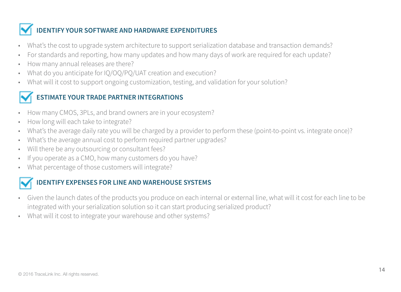#### <span id="page-13-0"></span>**IDENTIFY YOUR SOFTWARE AND HARDWARE EXPENDITURES**

- What's the cost to upgrade system architecture to support serialization database and transaction demands?
- For standards and reporting, how many updates and how many days of work are required for each update?
- How many annual releases are there?
- What do you anticipate for IQ/OQ/PQ/UAT creation and execution?
- What will it cost to support ongoing customization, testing, and validation for your solution?

#### **ESTIMATE YOUR TRADE PARTNER INTEGRATIONS**

- How many CMOS, 3PLs, and brand owners are in your ecosystem?
- How long will each take to integrate?
- What's the average daily rate you will be charged by a provider to perform these (point-to-point vs. integrate once)?
- What's the average annual cost to perform required partner upgrades?
- Will there be any outsourcing or consultant fees?
- If you operate as a CMO, how many customers do you have?
- What percentage of those customers will integrate?



#### **IDENTIFY EXPENSES FOR LINE AND WAREHOUSE SYSTEMS**

- Given the launch dates of the products you produce on each internal or external line, what will it cost for each line to be integrated with your serialization solution so it can start producing serialized product?
- What will it cost to integrate your warehouse and other systems?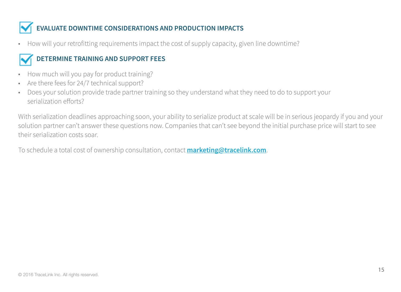### <span id="page-14-0"></span>**EVALUATE DOWNTIME CONSIDERATIONS AND PRODUCTION IMPACTS**

• How will your retrofitting requirements impact the cost of supply capacity, given line downtime?

#### **DETERMINE TRAINING AND SUPPORT FEES**

- How much will you pay for product training?
- Are there fees for 24/7 technical support?
- Does your solution provide trade partner training so they understand what they need to do to support your serialization efforts?

With serialization deadlines approaching soon, your ability to serialize product at scale will be in serious jeopardy if you and your solution partner can't answer these questions now. Companies that can't see beyond the initial purchase price will start to see their serialization costs soar.

To schedule a total cost of ownership consultation, contact **[marketing@tracelink.com](mailto:marketing%40tracelink.com?subject=)**.